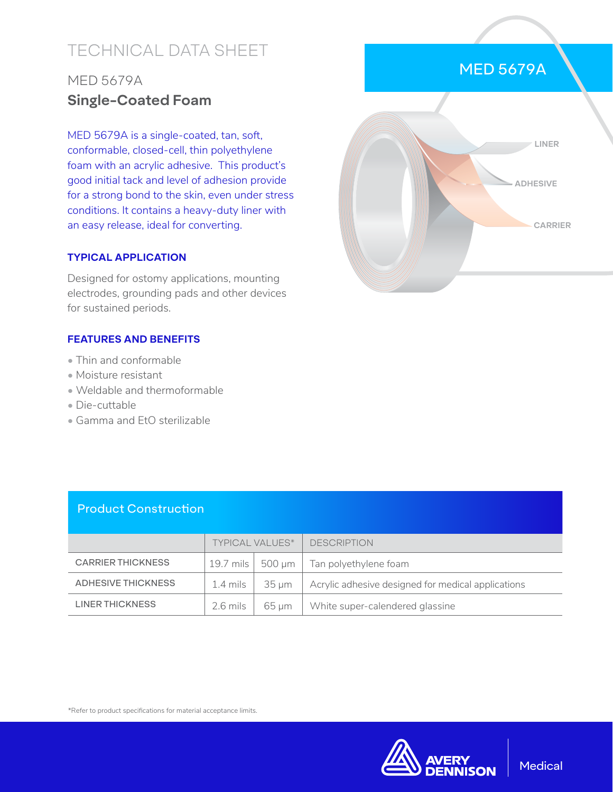# TECHNICAL DATA SHEET

## MED 5679A **Single-Coated Foam**

MED 5679A is a single-coated, tan, soft, conformable, closed-cell, thin polyethylene foam with an acrylic adhesive. This product's good initial tack and level of adhesion provide for a strong bond to the skin, even under stress conditions. It contains a heavy-duty liner with an easy release, ideal for converting.

#### **TYPICAL APPLICATION**

Designed for ostomy applications, mounting electrodes, grounding pads and other devices for sustained periods.

### **FEATURES AND BENEFITS**

- Thin and conformable
- Moisture resistant
- Weldable and thermoformable
- Die-cuttable
- Gamma and EtO sterilizable



|  | <b>Product Construction</b> |
|--|-----------------------------|
|  |                             |
|  |                             |

|                          | <b>TYPICAL VALUES*</b> |       | <b>DESCRIPTION</b>                                 |
|--------------------------|------------------------|-------|----------------------------------------------------|
| <b>CARRIER THICKNESS</b> | 19.7 mils $ 500 \mu m$ |       | Tan polyethylene foam                              |
| ADHESIVE THICKNESS       | 1.4 mils $\parallel$   | 35 um | Acrylic adhesive designed for medical applications |
| LINER THICKNESS          | 2.6 mils               | 65 um | White super-calendered glassine                    |

\*Refer to product specifications for material acceptance limits.